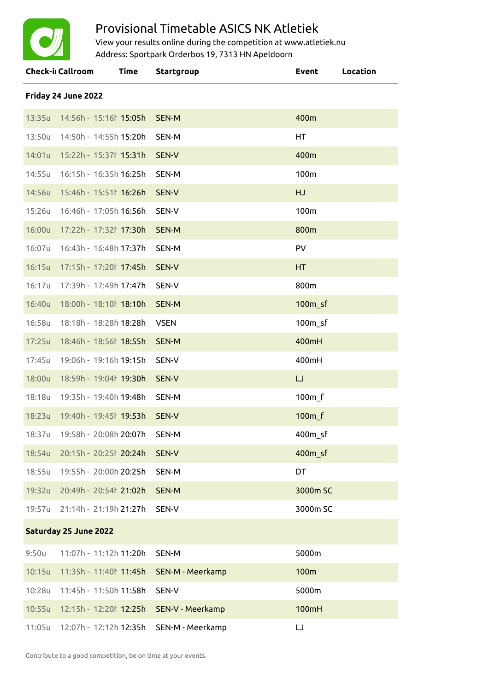

## Provisional Timetable ASICS NK Atletiek

View your results online during the competition at www.atletiek.nu Address: Sportpark Orderbos 19, 7313 HN Apeldoorn

|                       | <b>Check-i</b> Callroom             | Time | <b>Startgroup</b>                              | <b>Event</b>        | Location |  |  |
|-----------------------|-------------------------------------|------|------------------------------------------------|---------------------|----------|--|--|
| Friday 24 June 2022   |                                     |      |                                                |                     |          |  |  |
|                       | 13:35u 14:56h - 15:16b 15:05h       |      | SEN-M                                          | 400m                |          |  |  |
| 13:50u                | 14:50h - 14:55h 15:20h              |      | SEN-M                                          | HT.                 |          |  |  |
| 14:01u                | 15:22h - 15:37 15:31h               |      | SEN-V                                          | 400m                |          |  |  |
| 14:55u                | 16:15h - 16:35h 16:25h              |      | SEN-M                                          | 100m                |          |  |  |
| 14:56u                | 15:46h - 15:51 16:26h               |      | SEN-V                                          | HJ                  |          |  |  |
| 15:26u                | 16:46h - 17:05h 16:56h              |      | SEN-V                                          | 100m                |          |  |  |
| 16:00u                | 17:22h - 17:32 17:30h               |      | <b>SEN-M</b>                                   | 800m                |          |  |  |
| 16:07u                | 16:43h - 16:48h 17:37h              |      | SEN-M                                          | <b>PV</b>           |          |  |  |
| 16:15u                | 17:15h - 17:20 17:45h               |      | SEN-V                                          | HT.                 |          |  |  |
| 16:17u                | 17:39h - 17:49h 17:47h              |      | SEN-V                                          | 800m                |          |  |  |
| 16:40u                | 18:00h - 18:10 18:10h               |      | <b>SEN-M</b>                                   | 100 <sub>m_sf</sub> |          |  |  |
| 16:58u                | 18:18h - 18:28h 18:28h              |      | <b>VSEN</b>                                    | 100 <sub>m_sf</sub> |          |  |  |
| 17:25u                | 18:46h - 18:56 18:55h               |      | <b>SEN-M</b>                                   | 400mH               |          |  |  |
| 17:45u                | 19:06h - 19:16h 19:15h              |      | SEN-V                                          | 400mH               |          |  |  |
| 18:00u                | 18:59h - 19:04 19:30h               |      | SEN-V                                          | $\cup$              |          |  |  |
| 18:18u                | 19:35h - 19:40h 19:48h              |      | SEN-M                                          | 100 <sub>m_f</sub>  |          |  |  |
| 18:23u                | 19:40h - 19:45ł 19:53h              |      | SEN-V                                          | 100 <sub>m_f</sub>  |          |  |  |
|                       | 18:37u 19:58h - 20:08h 20:07h SEN-M |      |                                                | 400m_sf             |          |  |  |
|                       | 18:54u 20:15h - 20:25l 20:24h SEN-V |      |                                                | 400 <sub>m_sf</sub> |          |  |  |
|                       | 18:55u 19:55h - 20:00h 20:25h       |      | SEN-M                                          | DT                  |          |  |  |
|                       | 19:32u 20:49h - 20:54 21:02h        |      | SEN-M                                          | 3000m SC            |          |  |  |
|                       | 19:57u 21:14h - 21:19h 21:27h       |      | SEN-V                                          | 3000m SC            |          |  |  |
| Saturday 25 June 2022 |                                     |      |                                                |                     |          |  |  |
| 9:50u                 | 11:07h - 11:12h <b>11:20h</b>       |      | SEN-M                                          | 5000m               |          |  |  |
|                       |                                     |      | 10:15u 11:35h - 11:40 11:45h SEN-M - Meerkamp  | 100m                |          |  |  |
| 10:28u                |                                     |      | SEN-V                                          | 5000m               |          |  |  |
|                       |                                     |      | 10:55u 12:15h - 12:20l 12:25h SEN-V - Meerkamp | 100mH               |          |  |  |
|                       |                                     |      | 11:05u 12:07h - 12:12h 12:35h SEN-M - Meerkamp | IJ                  |          |  |  |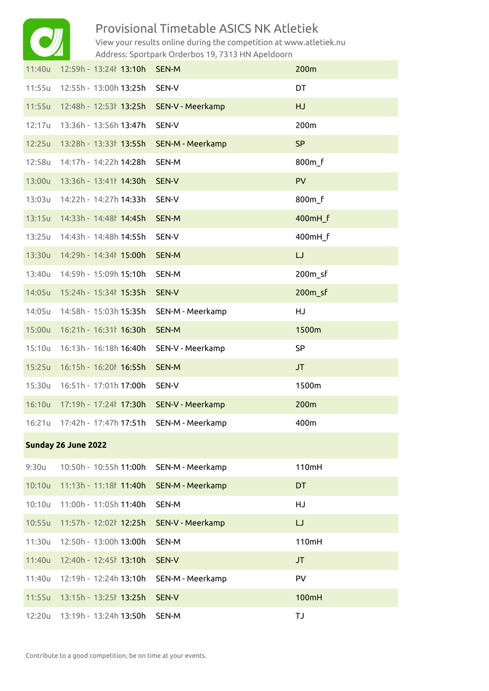

## Provisional Timetable ASICS NK Atletiek

View your results online during the competition at www.atletiek.nu Address: Sportpark Orderbos 19, 7313 HN Apeldoorn

| 11:40u              | 12:59h - 13:24 13:10h              | SEN-M                   | 200m                |  |  |  |
|---------------------|------------------------------------|-------------------------|---------------------|--|--|--|
| 11:55u              | 12:55h - 13:00h 13:25h             | SEN-V                   | DT                  |  |  |  |
| 11:55u              | 12:48h - 12:53  13:25h             | SEN-V - Meerkamp        | <b>HJ</b>           |  |  |  |
| 12:17u              | 13:36h - 13:56h 13:47h             | SEN-V                   | 200m                |  |  |  |
| 12:25u              | 13:28h - 13:33l 13:55h             | <b>SEN-M - Meerkamp</b> | <b>SP</b>           |  |  |  |
| 12:58u              | 14:17h - 14:22h 14:28h             | SEN-M                   | 800m f              |  |  |  |
| 13:00u              | 13:36h - 13:41 14:30h              | SEN-V                   | PV                  |  |  |  |
| 13:03u              | 14:22h - 14:27h 14:33h             | SEN-V                   | 800m f              |  |  |  |
| 13:15u              | 14:33h - 14:48 14:45h              | SEN-M                   | 400mH_f             |  |  |  |
| 13:25u              | 14:43h - 14:48h 14:55h             | SEN-V                   | 400mH_f             |  |  |  |
| 13:30u              | 14:29h - 14:34 15:00h              | SEN-M                   | IJ                  |  |  |  |
| 13:40u              | 14:59h - 15:09h 15:10h             | SEN-M                   | 200 <sub>m</sub> sf |  |  |  |
| 14:05u              | 15:24h - 15:34ł 15:35h             | SEN-V                   | $200m_s$            |  |  |  |
| 14:05u              | 14:58h - 15:03h <b>15:35h</b>      | SEN-M - Meerkamp        | HJ                  |  |  |  |
| 15:00u              | 16:21h - 16:31 16:30h              | SEN-M                   | 1500m               |  |  |  |
| 15:10u              | 16:13h - 16:18h 16:40h             | SEN-V - Meerkamp        | <b>SP</b>           |  |  |  |
| 15:25u              | 16:15h - 16:20 16:55h              | SEN-M                   | JT                  |  |  |  |
| 15:30u              | 16:51h - 17:01h 17:00h             | SEN-V                   | 1500m               |  |  |  |
| 16:10u              | 17:19h - 17:24 17:30h              | SEN-V - Meerkamp        | 200m                |  |  |  |
| 16:21u              | 17:42h - 17:47h 17:51h             | SEN-M - Meerkamp        | 400m                |  |  |  |
| Sunday 26 June 2022 |                                    |                         |                     |  |  |  |
| 9:30u               | 10:50h - 10:55h 11:00h             | SEN-M - Meerkamp        | 110mH               |  |  |  |
| 10:10u              | 11:13h - 11:18 11:40h              | SEN-M - Meerkamp        | DT                  |  |  |  |
| 10:10u              | 11:00h - 11:05h 11:40h             | SEN-M                   | HJ                  |  |  |  |
| 10:55u              | 11:57h - 12:02 12:25h              | SEN-V - Meerkamp        | IJ                  |  |  |  |
| 11:30u              | 12:50h - 13:00h 13:00h             | SEN-M                   | 110mH               |  |  |  |
| 11:40u              | 12:40h - 12:45 <sup>ł</sup> 13:10h | SEN-V                   | <b>JT</b>           |  |  |  |
| 11:40u              | 12:19h - 12:24h 13:10h             | SEN-M - Meerkamp        | <b>PV</b>           |  |  |  |
| 11:55u              | 13:15h - 13:25 <sup>†</sup> 13:25h | SEN-V                   | 100mH               |  |  |  |
| 12:20u              | 13:19h - 13:24h 13:50h             | SEN-M                   | <b>TJ</b>           |  |  |  |